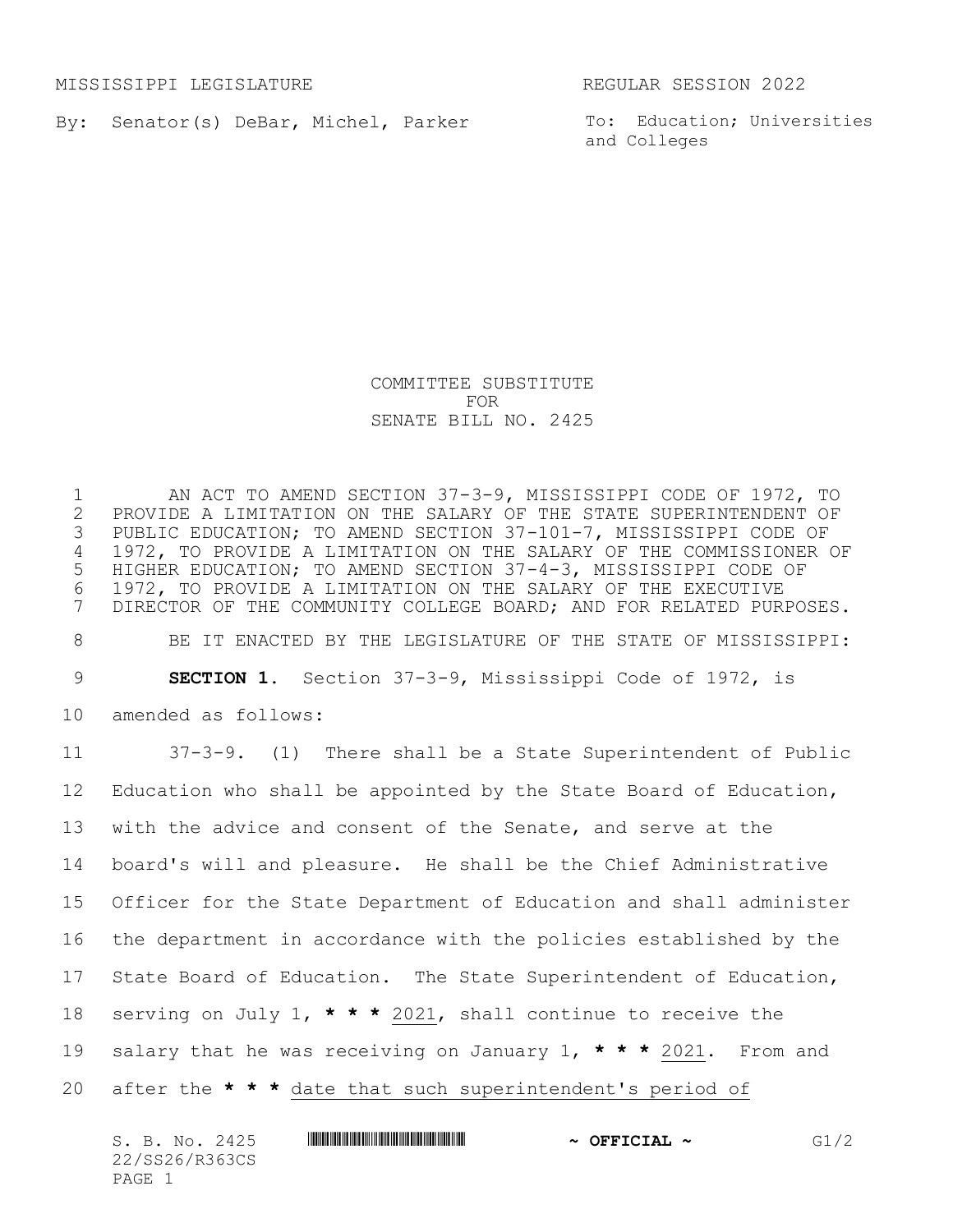MISSISSIPPI LEGISLATURE REGULAR SESSION 2022

By: Senator(s) DeBar, Michel, Parker

To: Education; Universities and Colleges

## COMMITTEE SUBSTITUTE FOR SENATE BILL NO. 2425

1 AN ACT TO AMEND SECTION 37-3-9, MISSISSIPPI CODE OF 1972, TO<br>2 PROVIDE A LIMITATION ON THE SALARY OF THE STATE SUPERINTENDENT OF PROVIDE A LIMITATION ON THE SALARY OF THE STATE SUPERINTENDENT OF PUBLIC EDUCATION; TO AMEND SECTION 37-101-7, MISSISSIPPI CODE OF 1972, TO PROVIDE A LIMITATION ON THE SALARY OF THE COMMISSIONER OF HIGHER EDUCATION; TO AMEND SECTION 37-4-3, MISSISSIPPI CODE OF 1972, TO PROVIDE A LIMITATION ON THE SALARY OF THE EXECUTIVE DIRECTOR OF THE COMMUNITY COLLEGE BOARD; AND FOR RELATED PURPOSES. BE IT ENACTED BY THE LEGISLATURE OF THE STATE OF MISSISSIPPI: **SECTION 1.** Section 37-3-9, Mississippi Code of 1972, is amended as follows: 37-3-9. (1)There shall be a State Superintendent of Public Education who shall be appointed by the State Board of Education, with the advice and consent of the Senate, and serve at the board's will and pleasure. He shall be the Chief Administrative Officer for the State Department of Education and shall administer the department in accordance with the policies established by the State Board of Education. The State Superintendent of Education, serving on July 1, **\* \* \*** 2021, shall continue to receive the salary that he was receiving on January 1, **\* \* \*** 2021. From and after the **\* \* \*** date that such superintendent's period of

| S. B. No. 2425 | $\sim$ OFFICIAL $\sim$ | G1/2 |
|----------------|------------------------|------|
| 22/SS26/R363CS |                        |      |
| PAGE 1         |                        |      |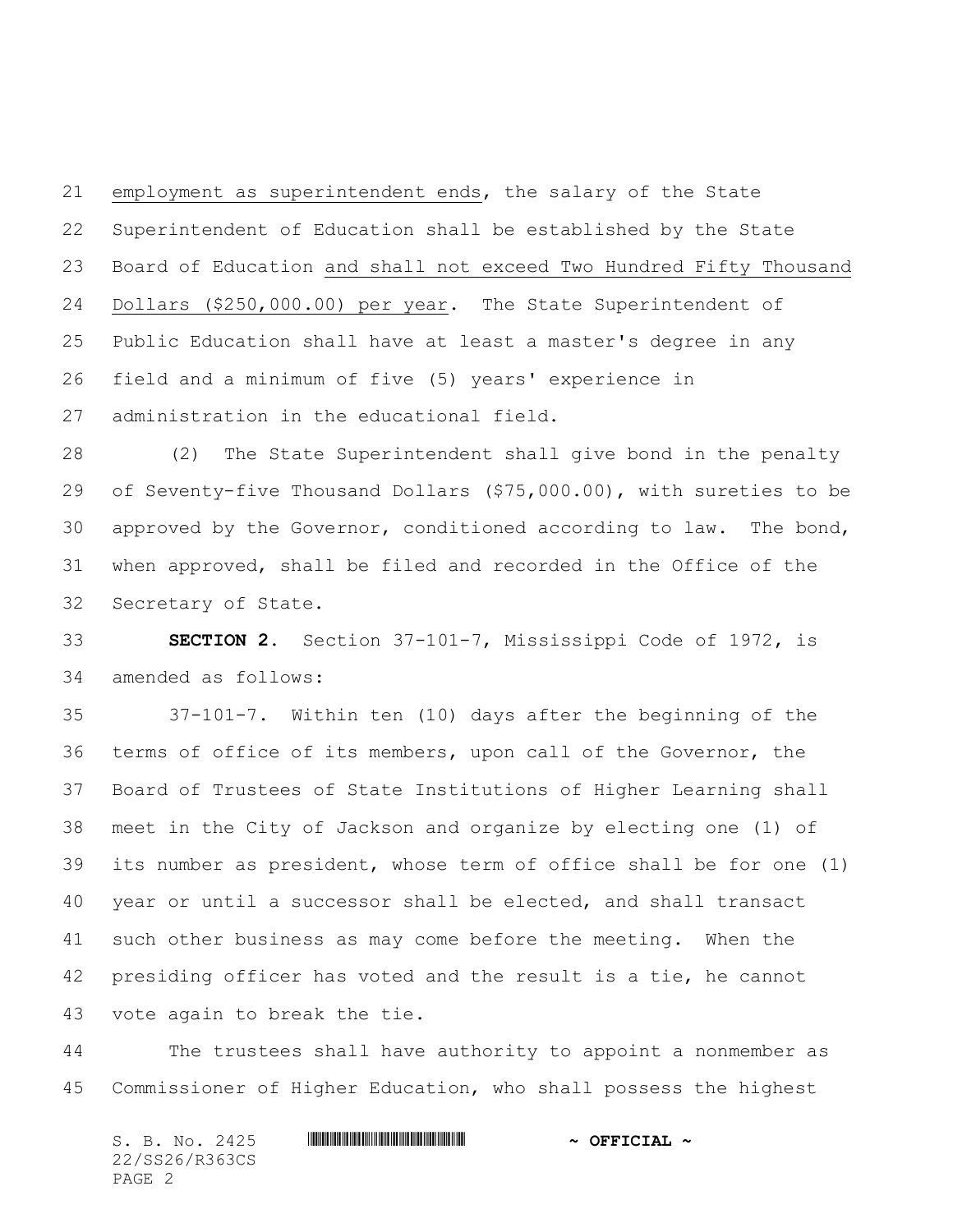employment as superintendent ends, the salary of the State Superintendent of Education shall be established by the State Board of Education and shall not exceed Two Hundred Fifty Thousand Dollars (\$250,000.00) per year. The State Superintendent of Public Education shall have at least a master's degree in any field and a minimum of five (5) years' experience in administration in the educational field.

 (2) The State Superintendent shall give bond in the penalty of Seventy-five Thousand Dollars (\$75,000.00), with sureties to be approved by the Governor, conditioned according to law. The bond, when approved, shall be filed and recorded in the Office of the Secretary of State.

 **SECTION 2.** Section 37-101-7, Mississippi Code of 1972, is amended as follows:

 37-101-7. Within ten (10) days after the beginning of the terms of office of its members, upon call of the Governor, the Board of Trustees of State Institutions of Higher Learning shall meet in the City of Jackson and organize by electing one (1) of its number as president, whose term of office shall be for one (1) year or until a successor shall be elected, and shall transact such other business as may come before the meeting. When the presiding officer has voted and the result is a tie, he cannot vote again to break the tie.

 The trustees shall have authority to appoint a nonmember as Commissioner of Higher Education, who shall possess the highest

S. B. No. 2425 **\*\*\* ASSECTAL \*\*\*** \*\*\* OFFICIAL \*\* 22/SS26/R363CS PAGE 2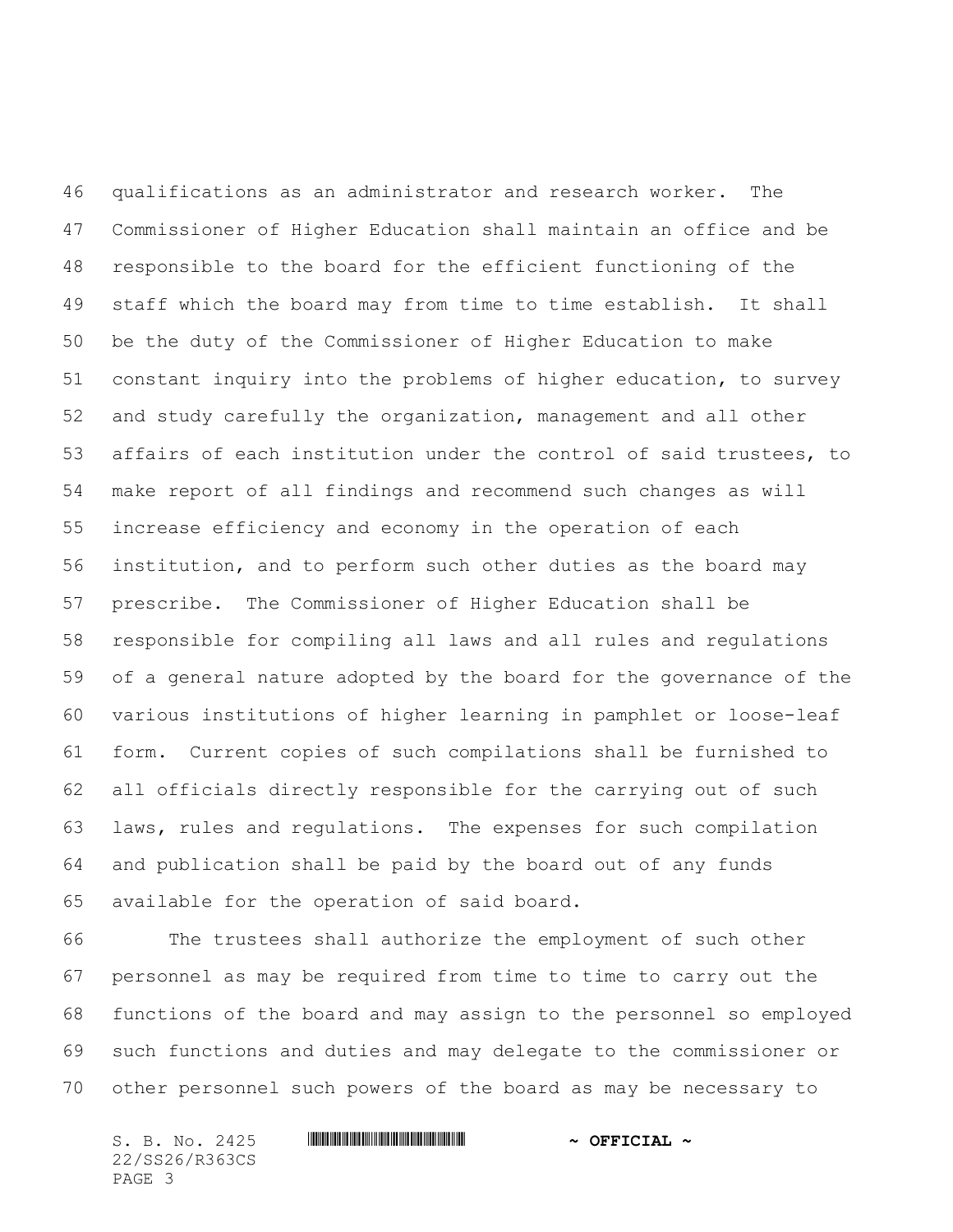qualifications as an administrator and research worker. The Commissioner of Higher Education shall maintain an office and be responsible to the board for the efficient functioning of the staff which the board may from time to time establish. It shall be the duty of the Commissioner of Higher Education to make constant inquiry into the problems of higher education, to survey and study carefully the organization, management and all other affairs of each institution under the control of said trustees, to make report of all findings and recommend such changes as will increase efficiency and economy in the operation of each institution, and to perform such other duties as the board may prescribe. The Commissioner of Higher Education shall be responsible for compiling all laws and all rules and regulations of a general nature adopted by the board for the governance of the various institutions of higher learning in pamphlet or loose-leaf form. Current copies of such compilations shall be furnished to all officials directly responsible for the carrying out of such laws, rules and regulations. The expenses for such compilation and publication shall be paid by the board out of any funds available for the operation of said board.

 The trustees shall authorize the employment of such other personnel as may be required from time to time to carry out the functions of the board and may assign to the personnel so employed such functions and duties and may delegate to the commissioner or other personnel such powers of the board as may be necessary to

S. B. No. 2425 **\*\*\* ASSECTAL \*\*\*** \*\*\* OFFICIAL \*\* 22/SS26/R363CS PAGE 3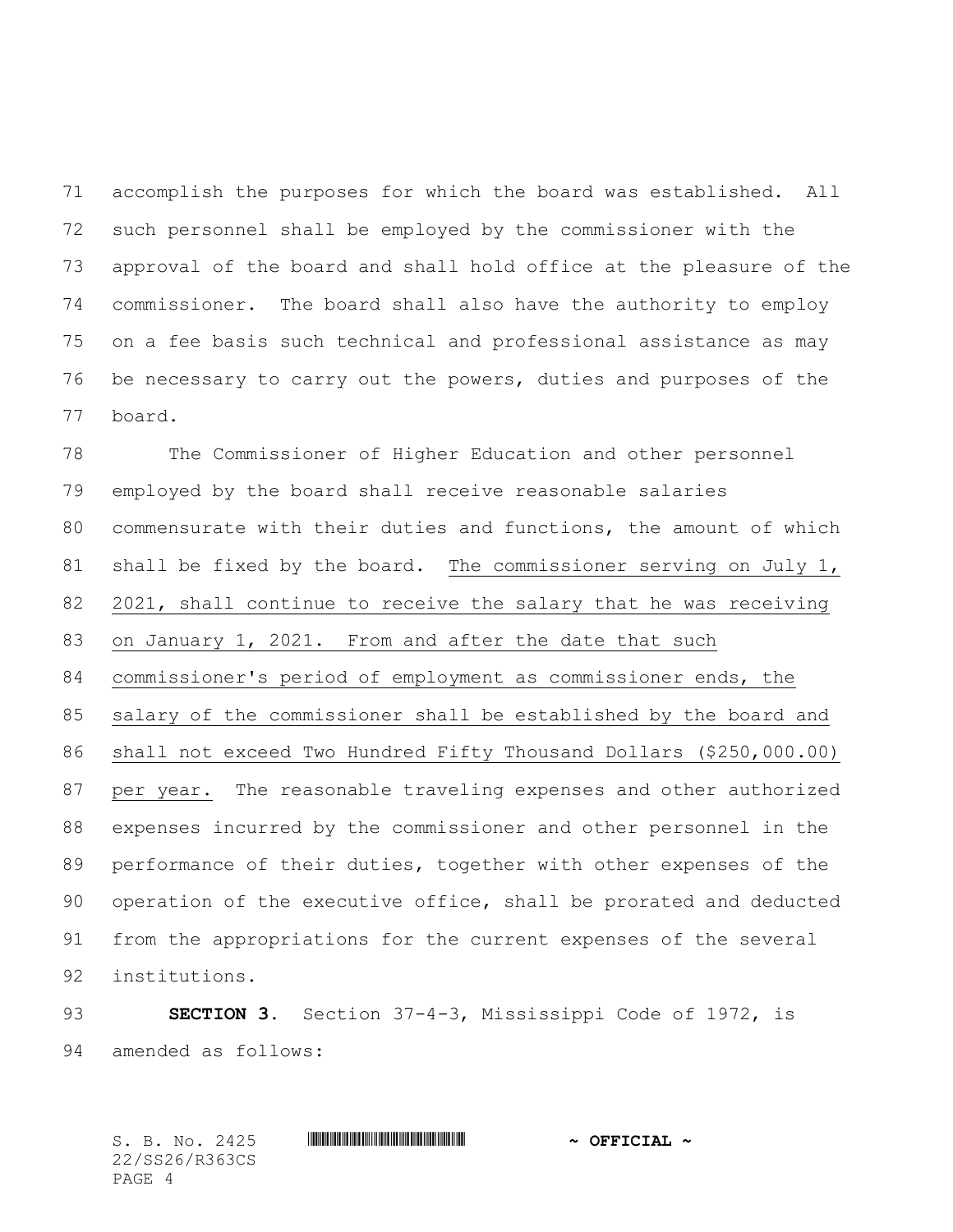accomplish the purposes for which the board was established. All such personnel shall be employed by the commissioner with the approval of the board and shall hold office at the pleasure of the commissioner. The board shall also have the authority to employ on a fee basis such technical and professional assistance as may be necessary to carry out the powers, duties and purposes of the board.

 The Commissioner of Higher Education and other personnel employed by the board shall receive reasonable salaries commensurate with their duties and functions, the amount of which 81 shall be fixed by the board. The commissioner serving on July 1, 2021, shall continue to receive the salary that he was receiving 83 on January 1, 2021. From and after the date that such commissioner's period of employment as commissioner ends, the salary of the commissioner shall be established by the board and shall not exceed Two Hundred Fifty Thousand Dollars (\$250,000.00) per year. The reasonable traveling expenses and other authorized expenses incurred by the commissioner and other personnel in the performance of their duties, together with other expenses of the operation of the executive office, shall be prorated and deducted from the appropriations for the current expenses of the several institutions.

 **SECTION 3.** Section 37-4-3, Mississippi Code of 1972, is amended as follows:

S. B. No. 2425 \*SS26/R363CS\* **~ OFFICIAL ~** 22/SS26/R363CS PAGE 4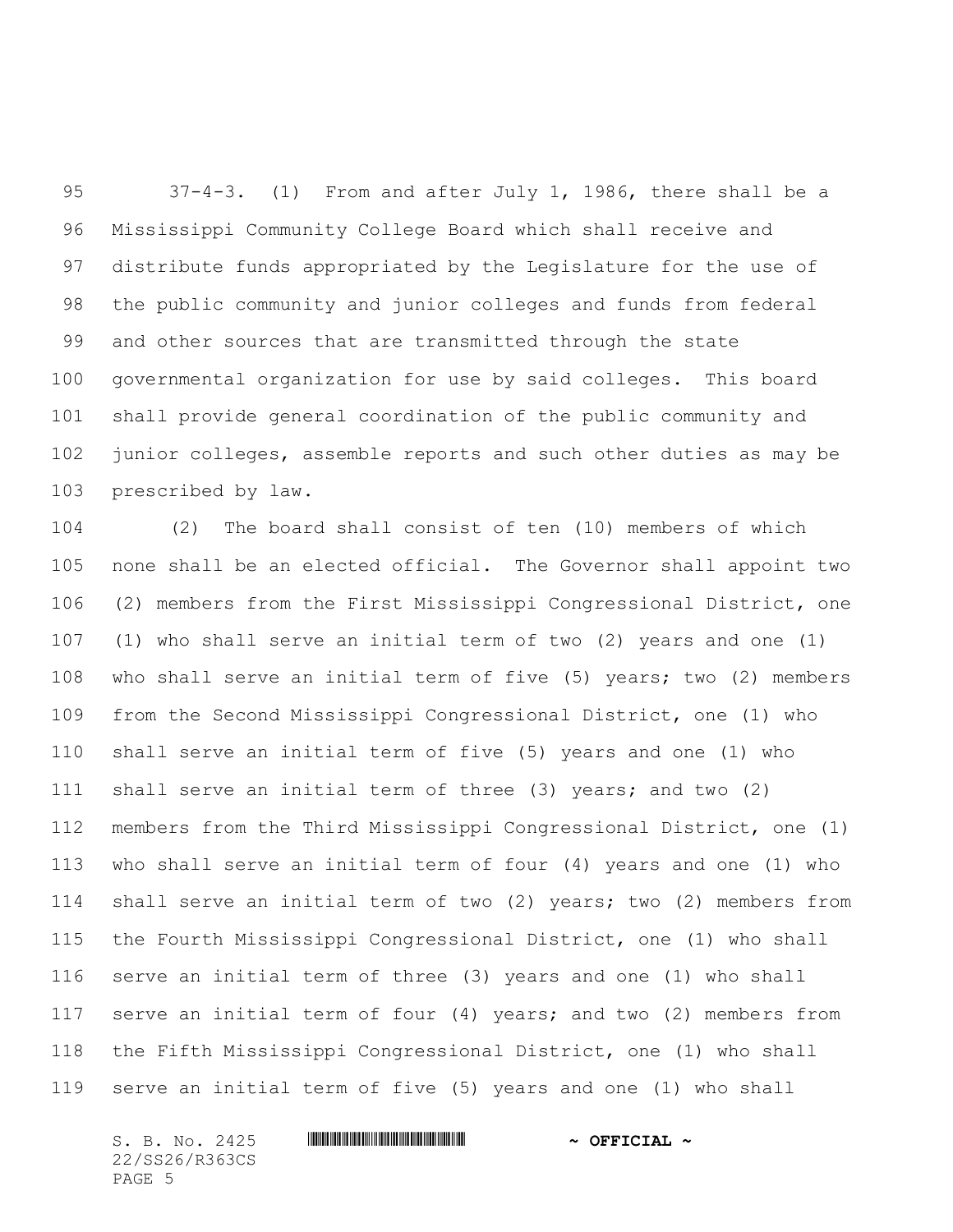37-4-3. (1) From and after July 1, 1986, there shall be a Mississippi Community College Board which shall receive and distribute funds appropriated by the Legislature for the use of the public community and junior colleges and funds from federal and other sources that are transmitted through the state governmental organization for use by said colleges. This board shall provide general coordination of the public community and junior colleges, assemble reports and such other duties as may be prescribed by law.

 (2) The board shall consist of ten (10) members of which none shall be an elected official. The Governor shall appoint two (2) members from the First Mississippi Congressional District, one (1) who shall serve an initial term of two (2) years and one (1) who shall serve an initial term of five (5) years; two (2) members from the Second Mississippi Congressional District, one (1) who shall serve an initial term of five (5) years and one (1) who shall serve an initial term of three (3) years; and two (2) members from the Third Mississippi Congressional District, one (1) who shall serve an initial term of four (4) years and one (1) who shall serve an initial term of two (2) years; two (2) members from the Fourth Mississippi Congressional District, one (1) who shall serve an initial term of three (3) years and one (1) who shall serve an initial term of four (4) years; and two (2) members from the Fifth Mississippi Congressional District, one (1) who shall serve an initial term of five (5) years and one (1) who shall

22/SS26/R363CS PAGE 5

## S. B. No. 2425 **\*\*\* ASSECTAL \*\*\*** \*\*\* OFFICIAL \*\*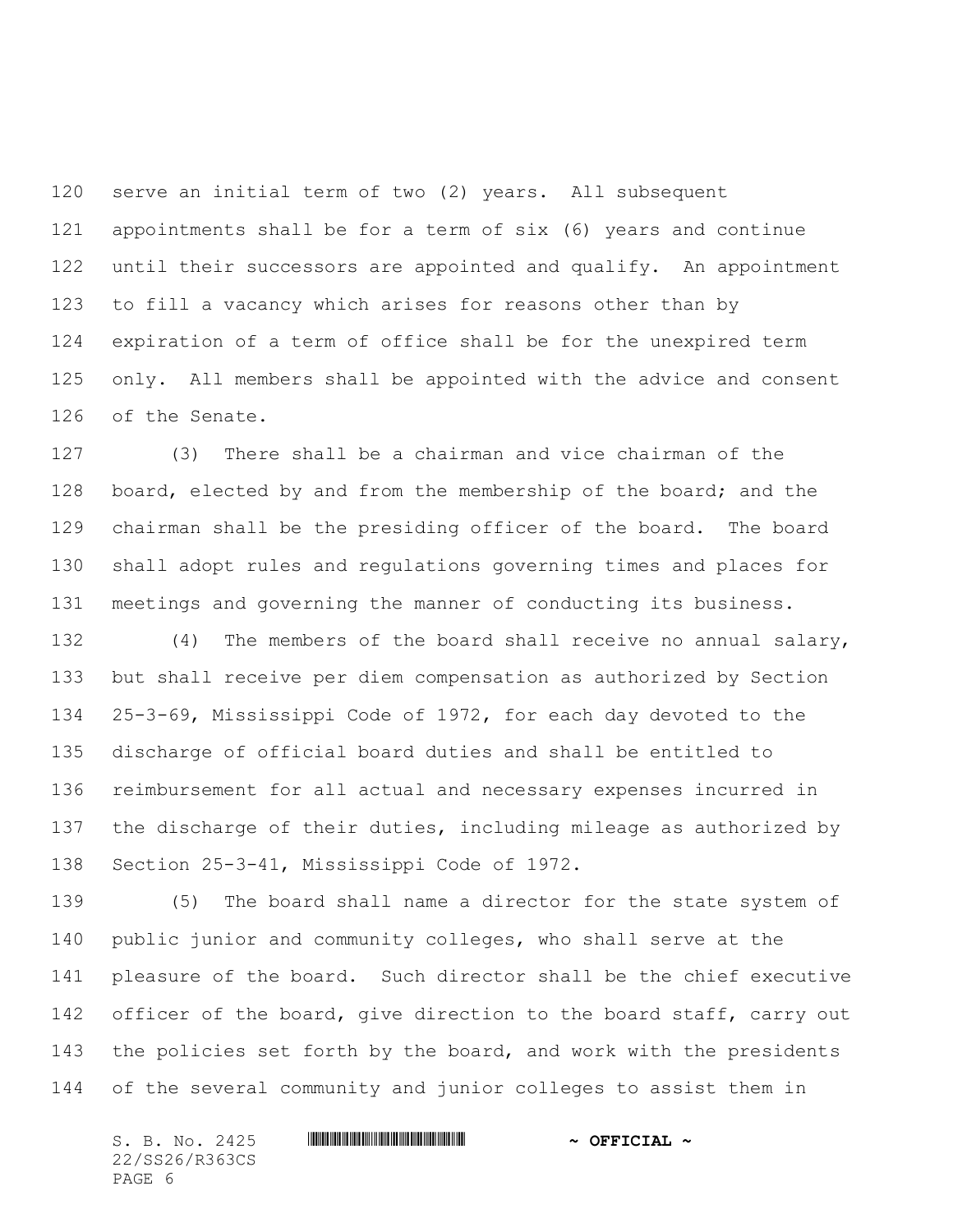serve an initial term of two (2) years. All subsequent appointments shall be for a term of six (6) years and continue until their successors are appointed and qualify. An appointment to fill a vacancy which arises for reasons other than by expiration of a term of office shall be for the unexpired term only. All members shall be appointed with the advice and consent of the Senate.

 (3) There shall be a chairman and vice chairman of the 128 board, elected by and from the membership of the board; and the chairman shall be the presiding officer of the board. The board shall adopt rules and regulations governing times and places for meetings and governing the manner of conducting its business.

 (4) The members of the board shall receive no annual salary, but shall receive per diem compensation as authorized by Section 25-3-69, Mississippi Code of 1972, for each day devoted to the discharge of official board duties and shall be entitled to reimbursement for all actual and necessary expenses incurred in the discharge of their duties, including mileage as authorized by Section 25-3-41, Mississippi Code of 1972.

 (5) The board shall name a director for the state system of public junior and community colleges, who shall serve at the pleasure of the board. Such director shall be the chief executive 142 officer of the board, give direction to the board staff, carry out the policies set forth by the board, and work with the presidents of the several community and junior colleges to assist them in

S. B. No. 2425 **\*\*\* ASSECTAL \*\*\*** \*\*\* OFFICIAL \*\* 22/SS26/R363CS PAGE 6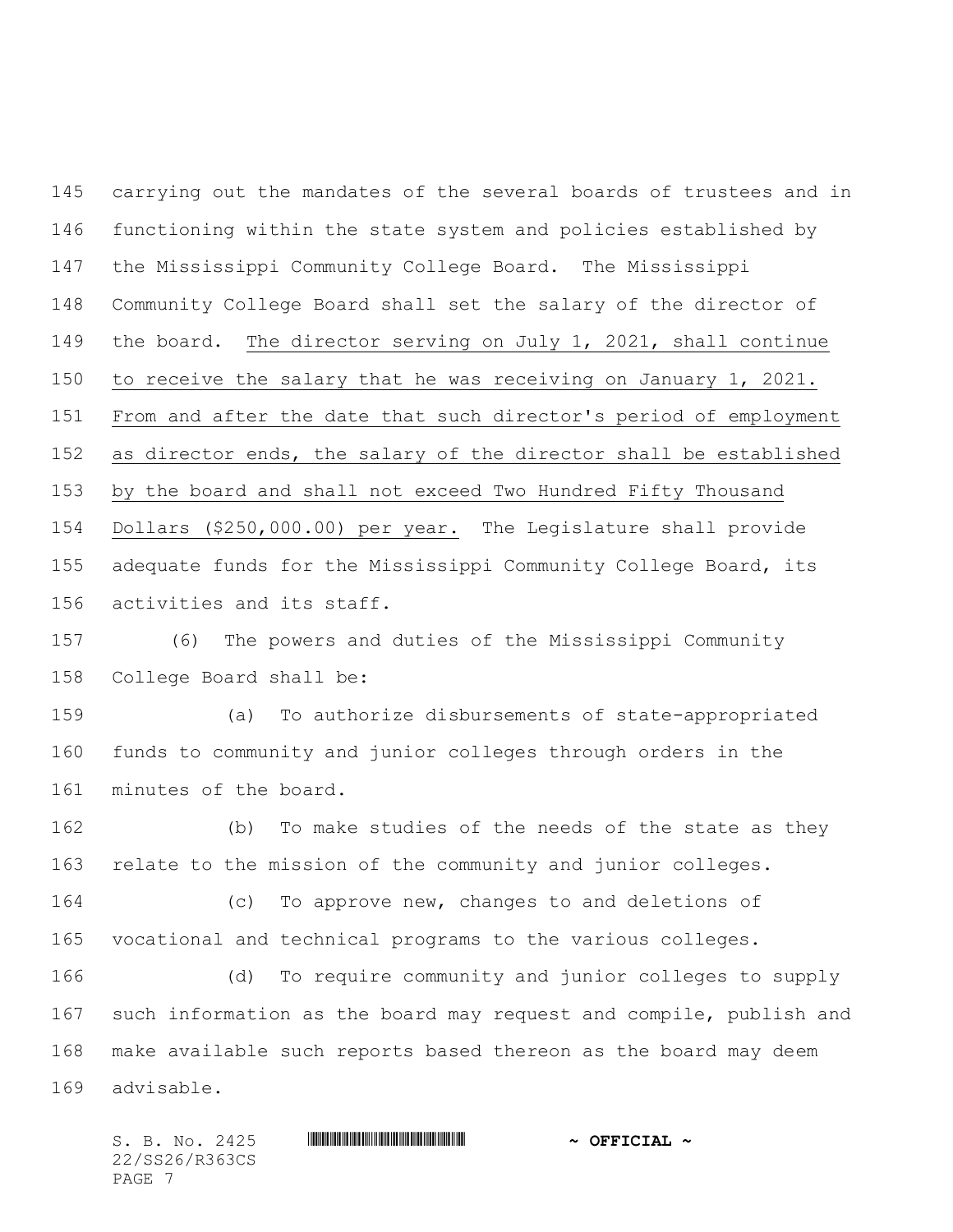carrying out the mandates of the several boards of trustees and in functioning within the state system and policies established by the Mississippi Community College Board. The Mississippi Community College Board shall set the salary of the director of the board. The director serving on July 1, 2021, shall continue to receive the salary that he was receiving on January 1, 2021. From and after the date that such director's period of employment as director ends, the salary of the director shall be established by the board and shall not exceed Two Hundred Fifty Thousand Dollars (\$250,000.00) per year. The Legislature shall provide adequate funds for the Mississippi Community College Board, its activities and its staff.

 (6) The powers and duties of the Mississippi Community College Board shall be:

 (a) To authorize disbursements of state-appropriated funds to community and junior colleges through orders in the minutes of the board.

 (b) To make studies of the needs of the state as they relate to the mission of the community and junior colleges.

 (c) To approve new, changes to and deletions of vocational and technical programs to the various colleges.

 (d) To require community and junior colleges to supply such information as the board may request and compile, publish and make available such reports based thereon as the board may deem advisable.

22/SS26/R363CS PAGE 7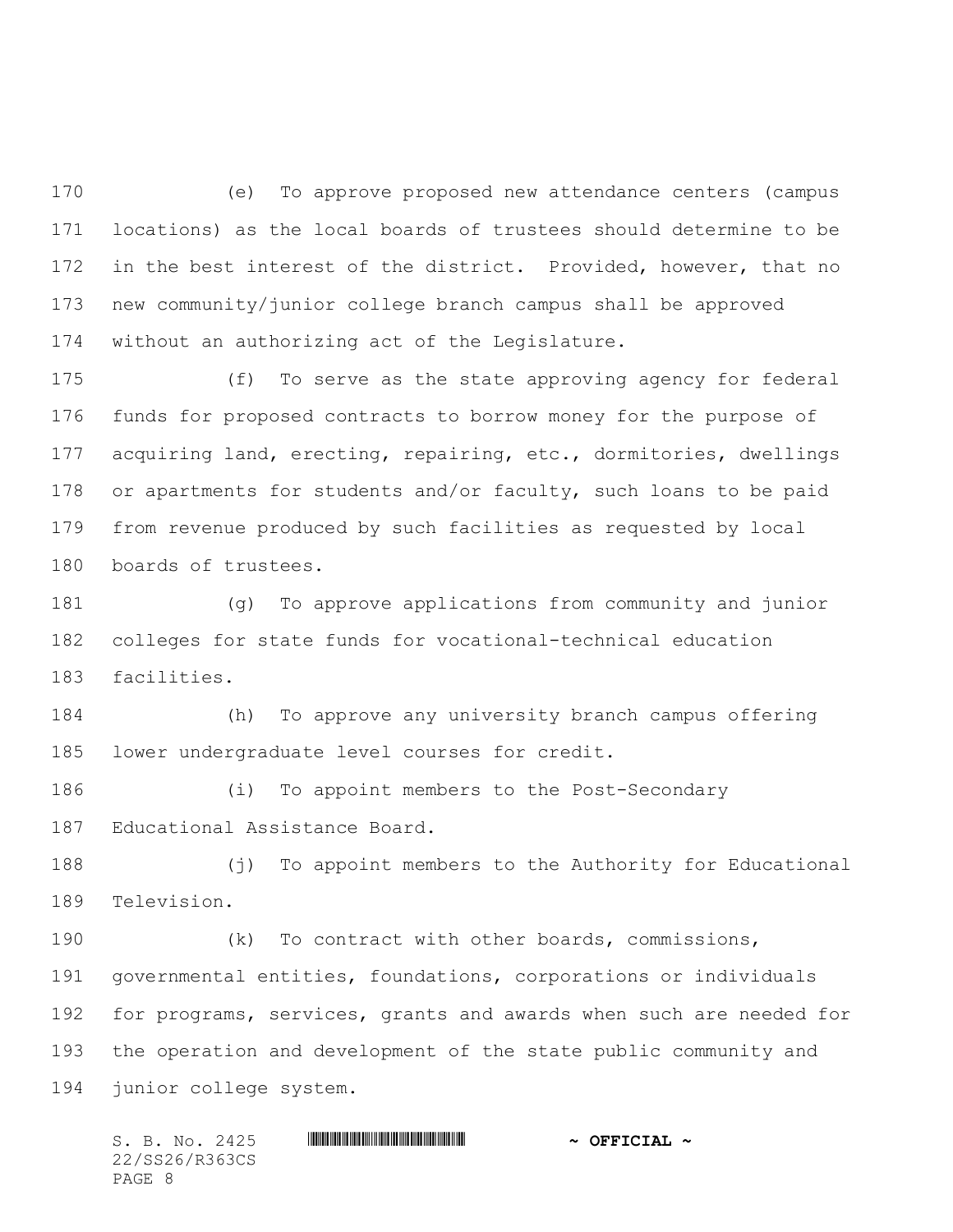(e) To approve proposed new attendance centers (campus locations) as the local boards of trustees should determine to be in the best interest of the district. Provided, however, that no new community/junior college branch campus shall be approved without an authorizing act of the Legislature.

 (f) To serve as the state approving agency for federal funds for proposed contracts to borrow money for the purpose of acquiring land, erecting, repairing, etc., dormitories, dwellings or apartments for students and/or faculty, such loans to be paid from revenue produced by such facilities as requested by local boards of trustees.

 (g) To approve applications from community and junior colleges for state funds for vocational-technical education facilities.

 (h) To approve any university branch campus offering lower undergraduate level courses for credit.

 (i) To appoint members to the Post-Secondary Educational Assistance Board.

 (j) To appoint members to the Authority for Educational Television.

 (k) To contract with other boards, commissions, governmental entities, foundations, corporations or individuals for programs, services, grants and awards when such are needed for the operation and development of the state public community and junior college system.

S. B. No. 2425 \*SS26/R363CS\* **~ OFFICIAL ~** 22/SS26/R363CS PAGE 8